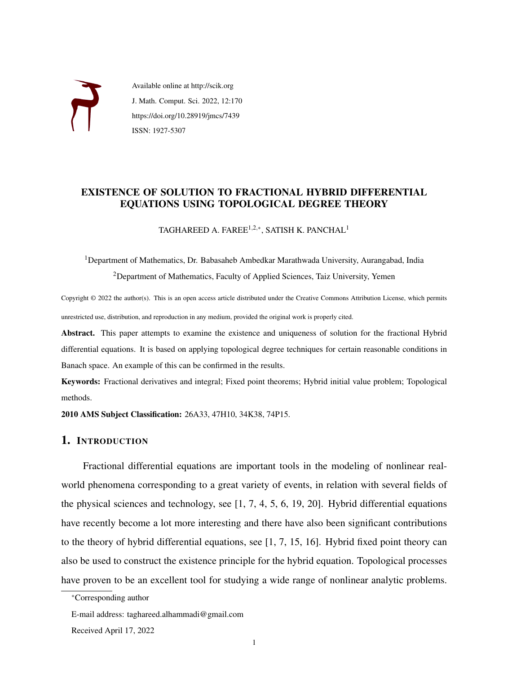

Available online at http://scik.org J. Math. Comput. Sci. 2022, 12:170 https://doi.org/10.28919/jmcs/7439 ISSN: 1927-5307

# EXISTENCE OF SOLUTION TO FRACTIONAL HYBRID DIFFERENTIAL EQUATIONS USING TOPOLOGICAL DEGREE THEORY

TAGHAREED A. FAREE $^{1,2,*}$ , SATISH K. PANCHAL $^1$ 

<sup>1</sup>Department of Mathematics, Dr. Babasaheb Ambedkar Marathwada University, Aurangabad, India <sup>2</sup>Department of Mathematics, Faculty of Applied Sciences, Taiz University, Yemen

Copyright © 2022 the author(s). This is an open access article distributed under the Creative Commons Attribution License, which permits unrestricted use, distribution, and reproduction in any medium, provided the original work is properly cited.

Abstract. This paper attempts to examine the existence and uniqueness of solution for the fractional Hybrid differential equations. It is based on applying topological degree techniques for certain reasonable conditions in Banach space. An example of this can be confirmed in the results.

Keywords: Fractional derivatives and integral; Fixed point theorems; Hybrid initial value problem; Topological methods.

2010 AMS Subject Classification: 26A33, 47H10, 34K38, 74P15.

# 1. INTRODUCTION

Fractional differential equations are important tools in the modeling of nonlinear realworld phenomena corresponding to a great variety of events, in relation with several fields of the physical sciences and technology, see [\[1,](#page-11-0) [7,](#page-11-1) [4,](#page-11-2) [5,](#page-11-3) [6,](#page-11-4) [19,](#page-12-0) [20\]](#page-12-1). Hybrid differential equations have recently become a lot more interesting and there have also been significant contributions to the theory of hybrid differential equations, see [\[1,](#page-11-0) [7,](#page-11-1) [15,](#page-12-2) [16\]](#page-12-3). Hybrid fixed point theory can also be used to construct the existence principle for the hybrid equation. Topological processes have proven to be an excellent tool for studying a wide range of nonlinear analytic problems.

<sup>∗</sup>Corresponding author

E-mail address: taghareed.alhammadi@gmail.com

Received April 17, 2022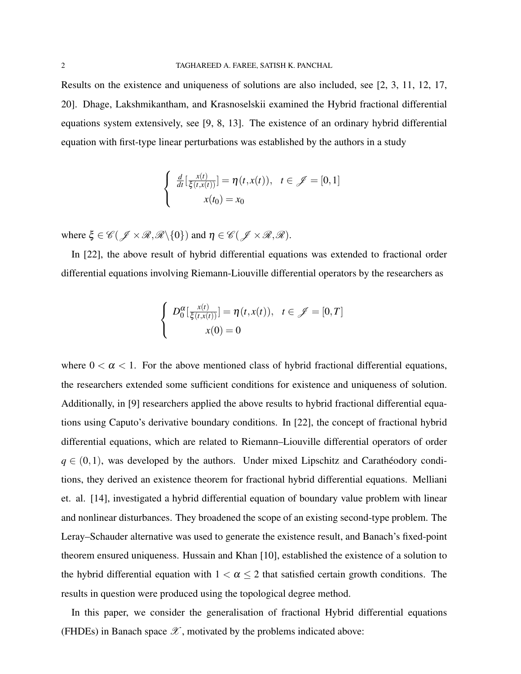Results on the existence and uniqueness of solutions are also included, see [\[2,](#page-11-5) [3,](#page-11-6) [11,](#page-11-7) [12,](#page-11-8) [17,](#page-12-4) [20\]](#page-12-1). Dhage, Lakshmikantham, and Krasnoselskii examined the Hybrid fractional differential equations system extensively, see [\[9,](#page-11-9) [8,](#page-11-10) [13\]](#page-11-11). The existence of an ordinary hybrid differential equation with first-type linear perturbations was established by the authors in a study

$$
\begin{cases} \frac{d}{dt} \left[ \frac{x(t)}{\xi(t,x(t))} \right] = \eta(t,x(t)), \quad t \in \mathscr{J} = [0,1] \\ x(t_0) = x_0 \end{cases}
$$

where  $\xi \in \mathscr{C}(\mathscr{J} \times \mathscr{R}, \mathscr{R}\backslash\{0\})$  and  $\eta \in \mathscr{C}(\mathscr{J} \times \mathscr{R}, \mathscr{R})$ .

In [\[22\]](#page-12-5), the above result of hybrid differential equations was extended to fractional order differential equations involving Riemann-Liouville differential operators by the researchers as

$$
\begin{cases}\nD_0^{\alpha} \left[ \frac{x(t)}{\xi(t,x(t))} \right] = \eta(t,x(t)), & t \in \mathcal{J} = [0,T] \\
x(0) = 0\n\end{cases}
$$

where  $0 < \alpha < 1$ . For the above mentioned class of hybrid fractional differential equations, the researchers extended some sufficient conditions for existence and uniqueness of solution. Additionally, in [\[9\]](#page-11-9) researchers applied the above results to hybrid fractional differential equations using Caputo's derivative boundary conditions. In [\[22\]](#page-12-5), the concept of fractional hybrid differential equations, which are related to Riemann–Liouville differential operators of order  $q \in (0,1)$ , was developed by the authors. Under mixed Lipschitz and Caratheodory conditions, they derived an existence theorem for fractional hybrid differential equations. Melliani et. al. [\[14\]](#page-11-12), investigated a hybrid differential equation of boundary value problem with linear and nonlinear disturbances. They broadened the scope of an existing second-type problem. The Leray–Schauder alternative was used to generate the existence result, and Banach's fixed-point theorem ensured uniqueness. Hussain and Khan [\[10\]](#page-11-13), established the existence of a solution to the hybrid differential equation with  $1 < \alpha \leq 2$  that satisfied certain growth conditions. The results in question were produced using the topological degree method.

<span id="page-1-0"></span>In this paper, we consider the generalisation of fractional Hybrid differential equations (FHDEs) in Banach space  $\mathscr X$ , motivated by the problems indicated above: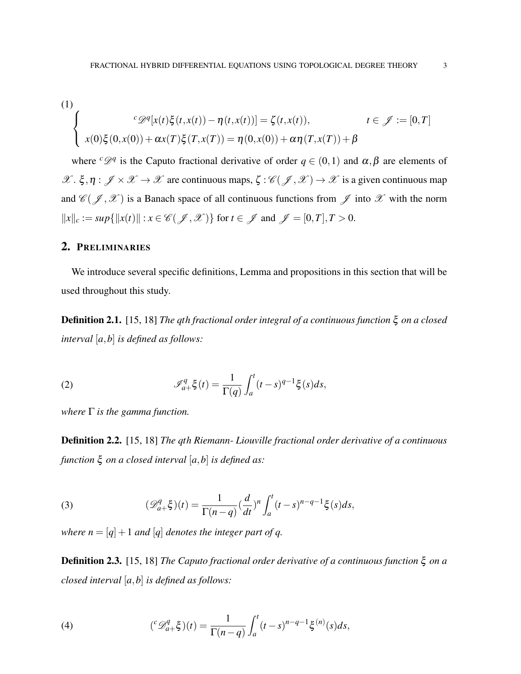(1)  

$$
\begin{cases}\nc\mathcal{D}^{q}[x(t)\xi(t,x(t)) - \eta(t,x(t))] = \zeta(t,x(t)), & t \in \mathcal{J} := [0,T] \\
x(0)\xi(0,x(0)) + \alpha x(T)\xi(T,x(T)) = \eta(0,x(0)) + \alpha \eta(T,x(T)) + \beta\n\end{cases}
$$

where <sup>*c*</sup> $\mathscr{D}^q$  is the Caputo fractional derivative of order  $q \in (0,1)$  and  $\alpha, \beta$  are elements of  $\mathscr{X}$ . ξ,  $\eta: \mathscr{J} \times \mathscr{X} \to \mathscr{X}$  are continuous maps,  $\zeta: \mathscr{C}(\mathscr{J}, \mathscr{X}) \to \mathscr{X}$  is a given continuous map and  $\mathscr{C}(\mathscr{J},\mathscr{X})$  is a Banach space of all continuous functions from  $\mathscr{J}$  into  $\mathscr{X}$  with the norm  $||x||_c := \sup\{||x(t)|| : x \in \mathcal{C}(\mathcal{J}, \mathcal{X})\}$  for  $t \in \mathcal{J}$  and  $\mathcal{J} = [0, T], T > 0$ .

## 2. PRELIMINARIES

We introduce several specific definitions, Lemma and propositions in this section that will be used throughout this study.

Definition 2.1. [\[15,](#page-12-2) [18\]](#page-12-6) *The qth fractional order integral of a continuous function* ξ *on a closed interval* [*a*,*b*] *is defined as follows:*

(2) 
$$
\mathscr{I}_{a+}^q \xi(t) = \frac{1}{\Gamma(q)} \int_a^t (t-s)^{q-1} \xi(s) ds,
$$

*where* Γ *is the gamma function.*

Definition 2.2. [\[15,](#page-12-2) [18\]](#page-12-6) *The qth Riemann- Liouville fractional order derivative of a continuous function* ξ *on a closed interval* [*a*,*b*] *is defined as:*

(3) 
$$
(\mathscr{D}_{a+}^q \xi)(t) = \frac{1}{\Gamma(n-q)} (\frac{d}{dt})^n \int_a^t (t-s)^{n-q-1} \xi(s) ds,
$$

*where n* =  $[q] + 1$  *and*  $[q]$  *denotes the integer part of q.* 

Definition 2.3. [\[15,](#page-12-2) [18\]](#page-12-6) *The Caputo fractional order derivative of a continuous function* ξ *on a closed interval* [*a*,*b*] *is defined as follows:*

(4) 
$$
({}^{c}\mathscr{D}_{a+}^{q}\xi)(t) = \frac{1}{\Gamma(n-q)}\int_{a}^{t}(t-s)^{n-q-1}\xi^{(n)}(s)ds,
$$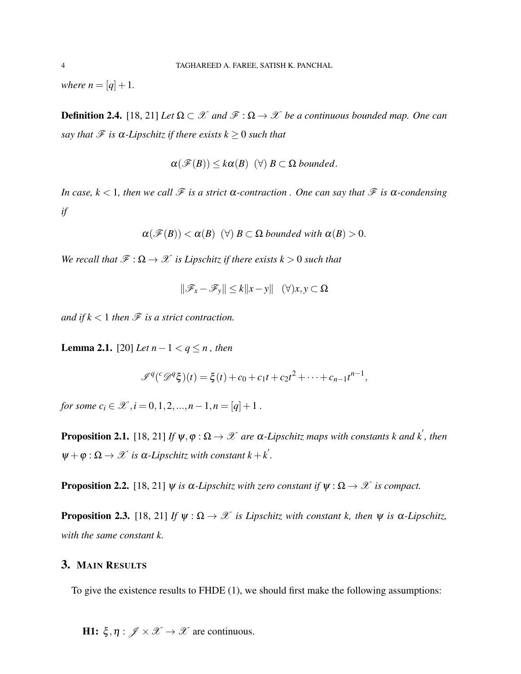*where*  $n = [q] + 1$ *.* 

**Definition 2.4.** [\[18,](#page-12-6) [21\]](#page-12-7) *Let*  $\Omega \subset \mathcal{X}$  *and*  $\mathcal{F}: \Omega \to \mathcal{X}$  *be a continuous bounded map. One can say that*  $\mathcal F$  *is*  $\alpha$ -*Lipschitz if there exists*  $k \geq 0$  *such that* 

 $\alpha(\mathscr{F}(B)) \leq k\alpha(B)$  (∀)  $B \subset \Omega$  *bounded*.

*In case, k* < 1*, then we call*  $\mathcal F$  *is a strict*  $\alpha$ -contraction . One can say that  $\mathcal F$  *is*  $\alpha$ -condensing *if*

 $\alpha(\mathscr{F}(B)) < \alpha(B)$  (∀)  $B \subset \Omega$  *bounded with*  $\alpha(B) > 0$ .

*We recall that*  $\mathcal{F} : \Omega \to \mathcal{X}$  *is Lipschitz if there exists*  $k > 0$  *such that* 

$$
\|\mathscr{F}_x - \mathscr{F}_y\| \le k\|x - y\| \quad (\forall) x, y \subset \Omega
$$

*and if*  $k < 1$  *then*  $\mathcal F$  *is a strict contraction.* 

**Lemma 2.1.** [\[20\]](#page-12-1) *Let*  $n-1 < q \le n$ , *then* 

$$
\mathcal{I}^q({}^c\mathcal{D}^q\xi)(t) = \xi(t) + c_0 + c_1t + c_2t^2 + \cdots + c_{n-1}t^{n-1},
$$

*for some c<sub>i</sub>*  $\in \mathcal{X}, i = 0, 1, 2, ..., n-1, n = [q] + 1$ .

**Proposition 2.1.** [\[18,](#page-12-6) [21\]](#page-12-7) If  $\psi, \varphi : \Omega \to \mathscr{X}$  are  $\alpha$ -Lipschitz maps with constants k and k<sup>'</sup>, then  $\Psi + \varphi : \Omega \to \mathscr{X}$  is  $\alpha$ -Lipschitz with constant  $k + k'$ .

<span id="page-3-1"></span>**Proposition 2.2.** [\[18,](#page-12-6) [21\]](#page-12-7)  $\psi$  *is*  $\alpha$ -*Lipschitz with zero constant if*  $\psi$  :  $\Omega \to \mathcal{X}$  *is compact.* 

<span id="page-3-0"></span>**Proposition 2.3.** [\[18,](#page-12-6) [21\]](#page-12-7) *If*  $\psi : \Omega \to \mathcal{X}$  *is Lipschitz with constant k, then*  $\psi$  *is*  $\alpha$ -*Lipschitz, with the same constant k.*

## 3. MAIN RESULTS

To give the existence results to FHDE [\(1\)](#page-1-0), we should first make the following assumptions:

H1:  $\xi, \eta : \mathscr{J} \times \mathscr{X} \to \mathscr{X}$  are continuous.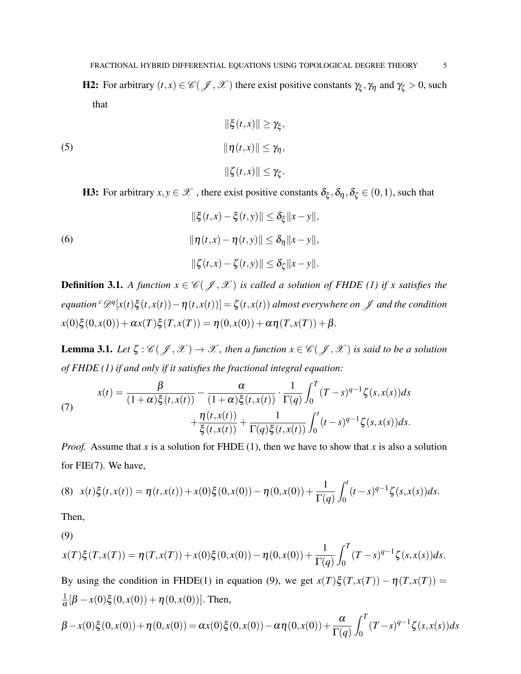**H2:** For arbitrary  $(t, x) \in \mathcal{C}(\mathcal{J}, \mathcal{X})$  there exist positive constants  $\gamma_{\xi}, \gamma_{\eta}$  and  $\gamma_{\zeta} > 0$ , such that

(5) 
$$
\|\xi(t,x)\| \geq \gamma_{\xi},
$$

$$
\|\eta(t,x)\| \leq \gamma_{\eta},
$$

$$
\|\zeta(t,x)\| \leq \gamma_{\zeta}.
$$

**H3:** For arbitrary  $x, y \in \mathcal{X}$ , there exist positive constants  $\delta_{\xi}, \delta_{\eta}, \delta_{\zeta} \in (0,1)$ , such that

(6)  
\n
$$
\|\xi(t,x) - \xi(t,y)\| \le \delta_{\xi} \|x - y\|,
$$
\n
$$
\|\eta(t,x) - \eta(t,y)\| \le \delta_{\eta} \|x - y\|,
$$
\n
$$
\|\zeta(t,x) - \zeta(t,y)\| \le \delta_{\zeta} \|x - y\|.
$$

**Definition 3.1.** A function  $x \in \mathcal{C}(\mathcal{J}, \mathcal{X})$  is called a solution of FHDE [\(1\)](#page-1-0) if x satisfies the  $\ell$  *equation* <sup>*c*</sup> $\mathscr{D}^q[x(t)\xi(t,x(t))-\eta(t,x(t))] = \zeta(t,x(t))$  *almost everywhere on*  $\mathscr{J}$  *and the condition*  $x(0)\xi(0,x(0)) + \alpha x(T)\xi(T,x(T)) = \eta(0,x(0)) + \alpha \eta(T,x(T)) + \beta.$ 

<span id="page-4-0"></span>**Lemma 3.1.** Let  $\zeta : \mathscr{C}(\mathscr{J}, \mathscr{X}) \to \mathscr{X}$ , then a function  $x \in \mathscr{C}(\mathscr{J}, \mathscr{X})$  is said to be a solution *of FHDE [\(1\)](#page-1-0) if and only if it satisfies the fractional integral equation:*

(7) 
$$
x(t) = \frac{\beta}{(1+\alpha)\xi(t,x(t))} - \frac{\alpha}{(1+\alpha)\xi(t,x(t))} \cdot \frac{1}{\Gamma(q)} \int_0^T (T-s)^{q-1} \zeta(s,x(s))ds + \frac{\eta(t,x(t))}{\xi(t,x(t))} + \frac{1}{\Gamma(q)\xi(t,x(t))} \int_0^t (t-s)^{q-1} \zeta(s,x(s))ds.
$$

<span id="page-4-2"></span>*Proof.* Assume that *x* is a solution for FHDE [\(1\)](#page-1-0), then we have to show that *x* is also a solution for FIE[\(7\)](#page-4-0). We have,

(8) 
$$
x(t)\xi(t,x(t)) = \eta(t,x(t)) + x(0)\xi(0,x(0)) - \eta(0,x(0)) + \frac{1}{\Gamma(q)}\int_0^t (t-s)^{q-1}\zeta(s,x(s))ds.
$$

<span id="page-4-1"></span>Then,

(9)

$$
x(T)\xi(T,x(T)) = \eta(T,x(T)) + x(0)\xi(0,x(0)) - \eta(0,x(0)) + \frac{1}{\Gamma(q)}\int_0^T (T-s)^{q-1}\zeta(s,x(s))ds.
$$

By using the condition in FHDE[\(1\)](#page-1-0) in equation [\(9\)](#page-4-1), we get  $x(T)\xi(T,x(T)) - \eta(T,x(T)) =$ 1  $\frac{1}{\alpha} [\beta - x(0)\xi(0, x(0)) + \eta(0, x(0))].$  Then,

$$
\beta - x(0)\xi(0,x(0)) + \eta(0,x(0)) = \alpha x(0)\xi(0,x(0)) - \alpha \eta(0,x(0)) + \frac{\alpha}{\Gamma(q)} \int_0^T (T-s)^{q-1} \zeta(s,x(s))ds
$$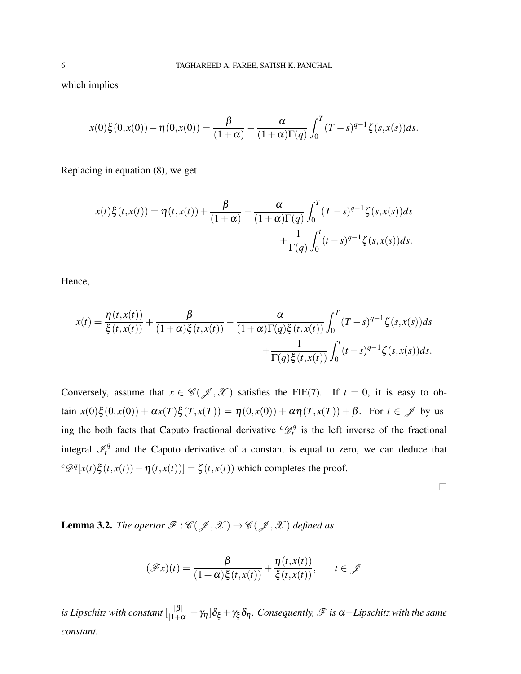which implies

$$
x(0)\xi(0,x(0)) - \eta(0,x(0)) = \frac{\beta}{(1+\alpha)} - \frac{\alpha}{(1+\alpha)\Gamma(q)} \int_0^T (T-s)^{q-1} \zeta(s,x(s))ds.
$$

Replacing in equation [\(8\)](#page-4-2), we get

$$
x(t)\xi(t,x(t)) = \eta(t,x(t)) + \frac{\beta}{(1+\alpha)} - \frac{\alpha}{(1+\alpha)\Gamma(q)} \int_0^T (T-s)^{q-1} \zeta(s,x(s))ds + \frac{1}{\Gamma(q)} \int_0^t (t-s)^{q-1} \zeta(s,x(s))ds.
$$

Hence,

$$
x(t) = \frac{\eta(t, x(t))}{\xi(t, x(t))} + \frac{\beta}{(1 + \alpha)\xi(t, x(t))} - \frac{\alpha}{(1 + \alpha)\Gamma(q)\xi(t, x(t))} \int_0^T (T - s)^{q-1} \zeta(s, x(s)) ds + \frac{1}{\Gamma(q)\xi(t, x(t))} \int_0^t (t - s)^{q-1} \zeta(s, x(s)) ds.
$$

Conversely, assume that  $x \in \mathcal{C}(\mathcal{J}, \mathcal{X})$  satisfies the FIE[\(7\)](#page-4-0). If  $t = 0$ , it is easy to obtain  $x(0)\xi(0,x(0)) + \alpha x(T)\xi(T,x(T)) = \eta(0,x(0)) + \alpha \eta(T,x(T)) + \beta$ . For  $t \in \mathcal{J}$  by using the both facts that Caputo fractional derivative  ${}^{c}\mathscr{D}_{t}^{q}$  $t_t^{q}$  is the left inverse of the fractional integral  $\mathcal{I}_t^q$  $t<sub>t</sub><sup>q</sup>$  and the Caputo derivative of a constant is equal to zero, we can deduce that  $\mathcal{C}\mathcal{D}^q[x(t)\xi(t,x(t)) - \eta(t,x(t))] = \zeta(t,x(t))$  which completes the proof.

<span id="page-5-0"></span>**Lemma 3.2.** *The opertor*  $\mathscr{F}: \mathscr{C}(\mathscr{J}, \mathscr{X}) \to \mathscr{C}(\mathscr{J}, \mathscr{X})$  *defined as* 

$$
(\mathscr{F}x)(t) = \frac{\beta}{(1+\alpha)\xi(t,x(t))} + \frac{\eta(t,x(t))}{\xi(t,x(t))}, \qquad t \in \mathscr{J}
$$

is Lipschitz with constant  $[\frac{|\beta|}{|1+\alpha|} + \gamma_\eta]\delta_\xi + \gamma_\xi\delta_\eta.$  Consequently,  $\mathscr F$  is  $\alpha-$ Lipschitz with the same *constant.*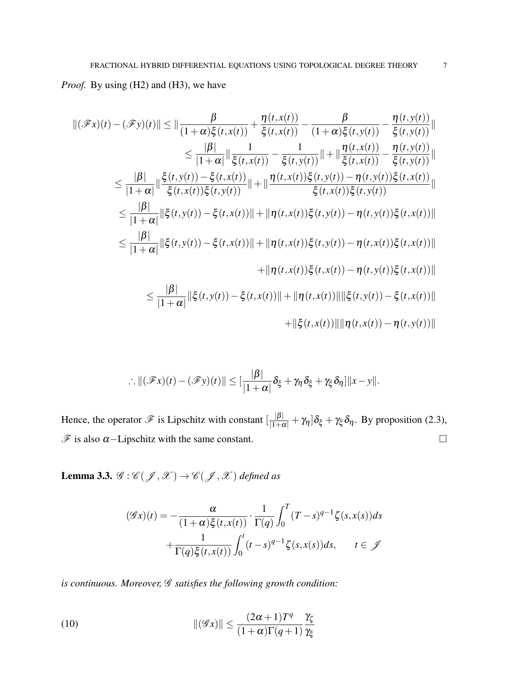*Proof.* By using (H2) and (H3), we have

$$
\|(\mathscr{F}x)(t) - (\mathscr{F}y)(t)\| \leq \|\frac{\beta}{(1+\alpha)\xi(t,x(t))} + \frac{\eta(t,x(t))}{\xi(t,x(t))} - \frac{\beta}{(1+\alpha)\xi(t,y(t))} - \frac{\eta(t,y(t))}{\xi(t,y(t))}\|
$$
  
\n
$$
\leq \frac{|\beta|}{|1+\alpha|} \|\frac{1}{\xi(t,x(t))} - \frac{1}{\xi(t,y(t))}\| + \|\frac{\eta(t,x(t))}{\xi(t,x(t))} - \frac{\eta(t,y(t))}{\xi(t,y(t))}\|
$$
  
\n
$$
\leq \frac{|\beta|}{|1+\alpha|} \|\frac{\xi(t,y(t)) - \xi(t,x(t))}{\xi(t,x(t))\xi(t,y(t))} + \|\frac{\eta(t,x(t))\xi(t,y(t)) - \eta(t,y(t))\xi(t,x(t))}{\xi(t,x(t))\xi(t,y(t))}\|
$$
  
\n
$$
\leq \frac{|\beta|}{|1+\alpha|} \|\xi(t,y(t)) - \xi(t,x(t))\| + \|\eta(t,x(t))\xi(t,y(t)) - \eta(t,y(t))\xi(t,x(t))\|
$$
  
\n
$$
\leq \frac{|\beta|}{|1+\alpha|} \|\xi(t,y(t)) - \xi(t,x(t))\| + \|\eta(t,x(t))\xi(t,y(t)) - \eta(t,x(t))\xi(t,x(t))\|
$$
  
\n
$$
+ \|\eta(t,x(t))\xi(t,x(t)) - \eta(t,y(t))\xi(t,x(t))\|
$$
  
\n
$$
\leq \frac{|\beta|}{|1+\alpha|} \|\xi(t,y(t)) - \xi(t,x(t))\| + \|\eta(t,x(t))\| \|\xi(t,y(t)) - \xi(t,x(t))\|
$$
  
\n
$$
+ \|\xi(t,x(t))\| \|\eta(t,x(t)) - \eta(t,y(t))\|
$$

$$
\therefore \|(\mathscr{F}x)(t)-(\mathscr{F}y)(t)\| \leq [\frac{|\beta|}{|1+\alpha|} \delta_{\xi} + \gamma_{\eta} \delta_{\xi} + \gamma_{\xi} \delta_{\eta}] \|x-y\|.
$$

Hence, the operator  $\mathscr F$  is Lipschitz with constant  $\left[\frac{|\beta|}{|1+\alpha|} + \gamma_{\eta}\right]\delta_{\xi} + \gamma_{\xi}\delta_{\eta}$ . By proposition [\(2.3\)](#page-3-0),  $\mathscr F$  is also  $\alpha$ -Lipschitz with the same constant.  $\square$ 

**Lemma 3.3.**  $\mathcal{G}: \mathcal{C}(\mathcal{J}, \mathcal{X}) \rightarrow \mathcal{C}(\mathcal{J}, \mathcal{X})$  *defined as* 

<span id="page-6-0"></span>
$$
(\mathscr{G}x)(t) = -\frac{\alpha}{(1+\alpha)\xi(t,x(t))} \cdot \frac{1}{\Gamma(q)} \int_0^T (T-s)^{q-1} \zeta(s,x(s))ds
$$

$$
+\frac{1}{\Gamma(q)\xi(t,x(t))} \int_0^t (t-s)^{q-1} \zeta(s,x(s))ds, \qquad t \in \mathscr{J}
$$

*is continuous. Moreover,* G *satisfies the following growth condition:*

(10) 
$$
\|(\mathscr{G}x)\| \leq \frac{(2\alpha+1)T^q}{(1+\alpha)\Gamma(q+1)}\frac{\gamma_{\zeta}}{\gamma_{\zeta}}
$$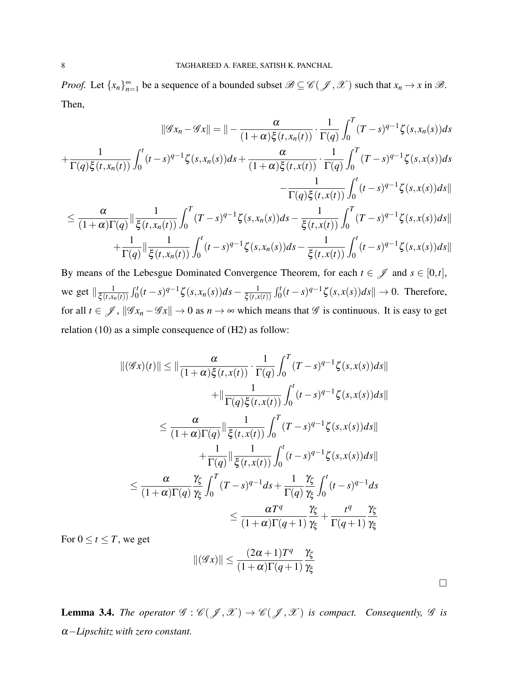*Proof.* Let  $\{x_n\}_{n=1}^{\infty}$  be a sequence of a bounded subset  $\mathscr{B} \subseteq \mathscr{C}(\mathscr{J}, \mathscr{X})$  such that  $x_n \to x$  in  $\mathscr{B}$ . Then,

$$
\|\mathcal{G}x_n - \mathcal{G}x\| = \left\| -\frac{\alpha}{(1+\alpha)\xi(t,x_n(t))} \cdot \frac{1}{\Gamma(q)} \int_0^T (T-s)^{q-1} \zeta(s,x_n(s)) ds \right\|
$$
  
+ 
$$
\frac{1}{\Gamma(q)\xi(t,x_n(t))} \int_0^t (t-s)^{q-1} \zeta(s,x_n(s)) ds + \frac{\alpha}{(1+\alpha)\xi(t,x(t))} \cdot \frac{1}{\Gamma(q)} \int_0^T (T-s)^{q-1} \zeta(s,x(s)) ds
$$
  
- 
$$
\frac{1}{\Gamma(q)\xi(t,x(t))} \int_0^t (t-s)^{q-1} \zeta(s,x(s)) ds \left\| \frac{1}{\Gamma(q-x)} \int_0^T (T-s)^{q-1} \zeta(s,x_n(s)) ds - \frac{1}{\Gamma(q-x)} \int_0^T (T-s)^{q-1} \zeta(s,x(s)) ds \right\|
$$

$$
\leq \frac{\alpha}{(1+\alpha)\Gamma(q)} \|\frac{1}{\xi(t,x_n(t))} \int_0^T (T-s)^{q-1} \zeta(s,x_n(s)) ds - \frac{1}{\xi(t,x(t))} \int_0^T (T-s)^{q-1} \zeta(s,x(s)) ds \|\n+ \frac{1}{\Gamma(q)} \|\frac{1}{\xi(t,x_n(t))} \int_0^t (t-s)^{q-1} \zeta(s,x_n(s)) ds - \frac{1}{\xi(t,x(t))} \int_0^t (t-s)^{q-1} \zeta(s,x(s)) ds \|\n\leq \frac{\alpha}{\Gamma(q)} \|\frac{1}{\xi(t,x_n(t))} \int_0^t (t-s)^{q-1} \zeta(s,x_n(s)) ds - \frac{1}{\xi(t,x(t))} \int_0^t (t-s)^{q-1} \zeta(s,x(s)) ds \|\n\leq \frac{\alpha}{\Gamma(q)} \|\frac{1}{\xi(t,x_n(t))} \int_0^t (t-s)^{q-1} \zeta(s,x_n(s)) ds - \frac{1}{\xi(t,x(t))} \int_0^t (t-s)^{q-1} \zeta(s,x(s)) ds \|\frac{1}{\xi(t,x_n(t))} \int_0^t (t-s)^{q-1} \zeta(s,x_n(s)) ds - \frac{1}{\xi(t,x(t))} \int_0^t (t-s)^{q-1} \zeta(s,x(s)) ds \|\frac{1}{\xi(t,x)} \int_0^t (t-s)^{q-1} \zeta(s,x_n(s)) ds - \frac{1}{\xi(t,x(t))} \int_0^t (t-s)^{q-1} \zeta(s,x(s)) ds \|\frac{1}{\xi(t,x)} \int_0^t (t-s)^{q-1} \zeta(s,x_n(s)) ds - \frac{1}{\xi(t,x)} \int_0^t (t-s)^{q-1} \zeta(s,x_n(s)) ds - \frac{1}{\xi(t,x)} \int_0^t (t-s)^{q-1} \zeta(s,x_n(s)) ds - \frac{1}{\xi(t,x)} \int_0^t (t-s)^{q-1} \zeta(s,x_n(s)) ds - \frac{1}{\xi(t,x)} \int_0^t (t-s)^{q-1} \zeta(s,x_n(s)) ds - \frac{1}{\xi(t,x)} \int_0^t (t-s)^{q-1} \zeta(s,x_n(s)) ds - \frac{1}{\xi(t,x)} \int_0^t (t-s)^{q-1} \zeta(s,x_n(s)) ds - \frac{1}{\xi(t,x)} \int_0
$$

By means of the Lebesgue Dominated Convergence Theorem, for each  $t \in \mathcal{J}$  and  $s \in [0,t]$ , we get  $\left\| \frac{1}{\mathcal{E}(t, x)} \right\|$  $\frac{1}{\xi(t,x_n(t))} \int_0^t (t-s)^{q-1} \zeta(s,x_n(s)) ds - \frac{1}{\xi(t,x_n(t))}$  $\frac{1}{\xi(t,x(t))} \int_0^t (t-s)^{q-1} \zeta(s,x(s)) ds \|\to 0.$  Therefore, for all  $t \in \mathcal{J}$ ,  $||\mathcal{G}x_n - \mathcal{G}x|| \to 0$  as  $n \to \infty$  which means that  $\mathcal{G}$  is continuous. It is easy to get relation [\(10\)](#page-6-0) as a simple consequence of (H2) as follow:

$$
\|(\mathcal{G}x)(t)\| \leq \|\frac{\alpha}{(1+\alpha)\xi(t,x(t))} \cdot \frac{1}{\Gamma(q)} \int_0^T (T-s)^{q-1} \zeta(s,x(s))ds\|
$$
  
+ 
$$
\|\frac{1}{\Gamma(q)\xi(t,x(t))} \int_0^t (t-s)^{q-1} \zeta(s,x(s))ds\|
$$
  

$$
\leq \frac{\alpha}{(1+\alpha)\Gamma(q)} \|\frac{1}{\xi(t,x(t))} \int_0^T (T-s)^{q-1} \zeta(s,x(s))ds\|
$$
  
+ 
$$
\frac{1}{\Gamma(q)} \|\frac{1}{\xi(t,x(t))} \int_0^t (t-s)^{q-1} \zeta(s,x(s))ds\|
$$
  

$$
\leq \frac{\alpha}{(1+\alpha)\Gamma(q)} \frac{\gamma_{\zeta}}{\gamma_{\zeta}} \int_0^T (T-s)^{q-1} ds + \frac{1}{\Gamma(q)} \frac{\gamma_{\zeta}}{\gamma_{\zeta}} \int_0^t (t-s)^{q-1} ds
$$
  

$$
\leq \frac{\alpha T^q}{(1+\alpha)\Gamma(q+1)} \frac{\gamma_{\zeta}}{\gamma_{\zeta}} + \frac{t^q}{\Gamma(q+1)} \frac{\gamma_{\zeta}}{\gamma_{\zeta}}
$$

For  $0 \le t \le T$ , we get

$$
\|(\mathscr{G}x)\| \le \frac{(2\alpha+1)T^q}{(1+\alpha)\Gamma(q+1)}\frac{\gamma_{\zeta}}{\gamma_{\zeta}}
$$

 $\Box$ 

<span id="page-7-0"></span>**Lemma 3.4.** *The operator*  $\mathcal{G}: \mathcal{C}(\mathcal{J}, \mathcal{X}) \to \mathcal{C}(\mathcal{J}, \mathcal{X})$  *is compact. Consequently,*  $\mathcal{G}$  *is* α−*Lipschitz with zero constant.*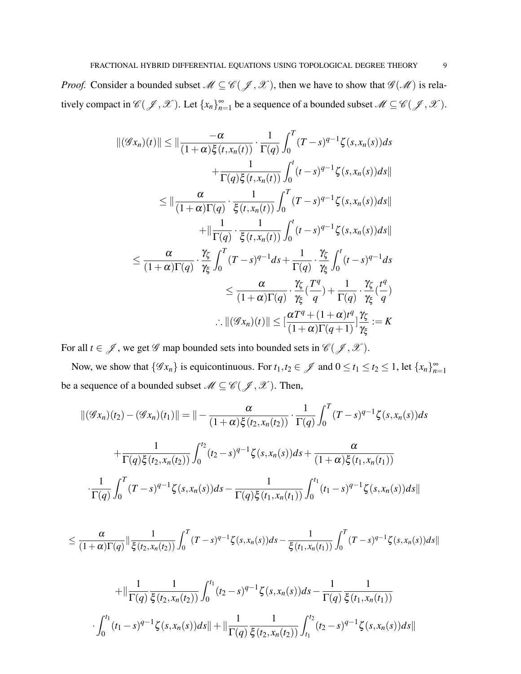*Proof.* Consider a bounded subset  $M \subseteq \mathcal{C}(\mathcal{J}, \mathcal{X})$ , then we have to show that  $\mathcal{G}(\mathcal{M})$  is relatively compact in  $\mathscr{C}(\mathscr{J}, \mathscr{X})$ . Let  $\{x_n\}_{n=1}^{\infty}$  be a sequence of a bounded subset  $\mathscr{M} \subseteq \mathscr{C}(\mathscr{J}, \mathscr{X})$ .

$$
\|(\mathcal{G}x_n)(t)\| \leq \|\frac{-\alpha}{(1+\alpha)\xi(t,x_n(t))} \cdot \frac{1}{\Gamma(q)} \int_0^T (T-s)^{q-1} \zeta(s,x_n(s)) ds
$$
  
+ 
$$
\frac{1}{\Gamma(q)\xi(t,x_n(t))} \int_0^t (t-s)^{q-1} \zeta(s,x_n(s)) ds \|\leq \|\frac{\alpha}{(1+\alpha)\Gamma(q)} \cdot \frac{1}{\xi(t,x_n(t))} \int_0^T (T-s)^{q-1} \zeta(s,x_n(s)) ds \|\|_{\mathcal{F}(\overline{q})} + \|\frac{1}{\Gamma(q)} \cdot \frac{1}{\xi(t,x_n(t))} \int_0^t (t-s)^{q-1} \zeta(s,x_n(s)) ds \|\|_{\mathcal{F}(\overline{q})} + \frac{\gamma_{\zeta}}{\gamma_{\zeta}} \int_0^T (T-s)^{q-1} ds + \frac{1}{\Gamma(q)} \cdot \frac{\gamma_{\zeta}}{\gamma_{\zeta}} \int_0^t (t-s)^{q-1} ds
$$
  

$$
\leq \frac{\alpha}{(1+\alpha)\Gamma(q)} \cdot \frac{\gamma_{\zeta}}{\gamma_{\zeta}} \cdot \frac{T^q}{q} + \frac{1}{\Gamma(q)} \cdot \frac{\gamma_{\zeta}}{\gamma_{\zeta}} \cdot \frac{t^q}{q})
$$
  

$$
\therefore \|( \mathcal{G}x_n)(t)\| \leq [\frac{\alpha T^q + (1+\alpha)t^q}{(1+\alpha)\Gamma(q+1)}] \frac{\gamma_{\zeta}}{\gamma_{\zeta}} := K
$$

For all *t*  $\in \mathcal{J}$ , we get  $\mathcal{G}$  map bounded sets into bounded sets in  $\mathcal{C}(\mathcal{J}, \mathcal{X})$ .

Now, we show that  $\{\mathscr{G}x_n\}$  is equicontinuous. For  $t_1, t_2 \in \mathscr{J}$  and  $0 \le t_1 \le t_2 \le 1$ , let  $\{x_n\}_{n=1}^{\infty}$ be a sequence of a bounded subset  $\mathscr{M}\subseteq \mathscr{C}(\mathscr{J},\mathscr{X}).$  Then,

$$
\|(\mathcal{G}x_n)(t_2) - (\mathcal{G}x_n)(t_1)\| = \| - \frac{\alpha}{(1+\alpha)\xi(t_2,x_n(t_2))} \cdot \frac{1}{\Gamma(q)} \int_0^T (T-s)^{q-1} \zeta(s,x_n(s)) ds
$$
  
+ 
$$
\frac{1}{\Gamma(q)\xi(t_2,x_n(t_2))} \int_0^{t_2} (t_2-s)^{q-1} \zeta(s,x_n(s)) ds + \frac{\alpha}{(1+\alpha)\xi(t_1,x_n(t_1))}
$$
  

$$
\cdot \frac{1}{\Gamma(q)} \int_0^T (T-s)^{q-1} \zeta(s,x_n(s)) ds - \frac{1}{\Gamma(q)\xi(t_1,x_n(t_1))} \int_0^{t_1} (t_1-s)^{q-1} \zeta(s,x_n(s)) ds \|
$$

$$
\leq \frac{\alpha}{(1+\alpha)\Gamma(q)} \|\frac{1}{\xi(t_2,x_n(t_2))}\int_0^T (T-s)^{q-1}\zeta(s,x_n(s))ds - \frac{1}{\xi(t_1,x_n(t_1))}\int_0^T (T-s)^{q-1}\zeta(s,x_n(s))ds\|
$$

$$
+ \|\frac{1}{\Gamma(q)} \frac{1}{\xi(t_2, x_n(t_2))} \int_0^{t_1} (t_2 - s)^{q-1} \zeta(s, x_n(s)) ds - \frac{1}{\Gamma(q)} \frac{1}{\xi(t_1, x_n(t_1))}
$$

$$
\cdot \int_0^{t_1} (t_1 - s)^{q-1} \zeta(s, x_n(s)) ds || + \|\frac{1}{\Gamma(q)} \frac{1}{\xi(t_2, x_n(t_2))} \int_{t_1}^{t_2} (t_2 - s)^{q-1} \zeta(s, x_n(s)) ds ||
$$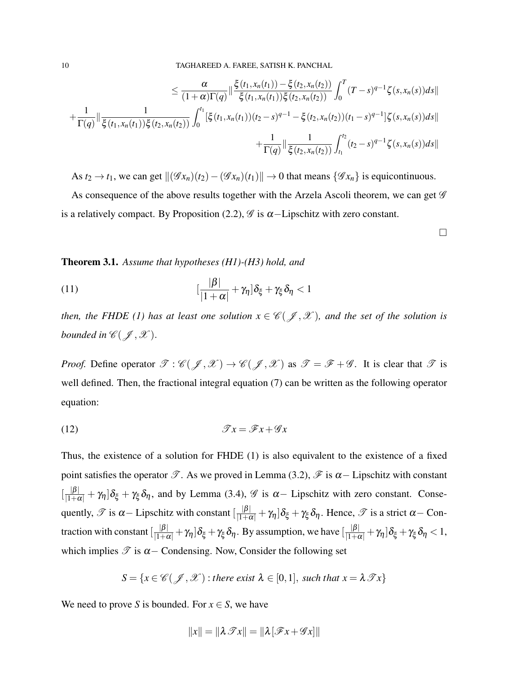$$
\leq \frac{\alpha}{(1+\alpha)\Gamma(q)} \|\frac{\xi(t_1,x_n(t_1)) - \xi(t_2,x_n(t_2))}{\xi(t_1,x_n(t_1))\xi(t_2,x_n(t_2))} \int_0^T (T-s)^{q-1} \zeta(s,x_n(s))ds\| \n+ \frac{1}{\Gamma(q)} \|\frac{1}{\xi(t_1,x_n(t_1))\xi(t_2,x_n(t_2))} \int_0^{t_1} [\xi(t_1,x_n(t_1))(t_2-s)^{q-1} - \xi(t_2,x_n(t_2))(t_1-s)^{q-1}] \zeta(s,x_n(s))ds\| \n+ \frac{1}{\Gamma(q)} \|\frac{1}{\xi(t_2,x_n(t_2))} \int_{t_1}^{t_2} (t_2-s)^{q-1} \zeta(s,x_n(s))ds\|
$$

As  $t_2 \to t_1$ , we can get  $\|(\mathscr{G}x_n)(t_2) - (\mathscr{G}x_n)(t_1)\| \to 0$  that means  $\{\mathscr{G}x_n\}$  is equicontinuous.

As consequence of the above results together with the Arzela Ascoli theorem, we can get  $\mathscr G$ is a relatively compact. By Proposition [\(2.2\)](#page-3-1),  $\mathscr G$  is  $\alpha$ -Lipschitz with zero constant.

<span id="page-9-0"></span>Theorem 3.1. *Assume that hypotheses (H1)-(H3) hold, and*

(11) 
$$
[\frac{|\beta|}{|1+\alpha|} + \gamma_{\eta}] \delta_{\xi} + \gamma_{\xi} \delta_{\eta} < 1
$$

*then, the FHDE [\(1\)](#page-1-0) has at least one solution*  $x \in \mathscr{C}(\mathscr{J}, \mathscr{X})$ *, and the set of the solution is bounded in*  $\mathscr{C}(\mathscr{J},\mathscr{X})$ *.* 

*Proof.* Define operator  $\mathcal{T} : \mathscr{C}(\mathscr{J}, \mathscr{X}) \to \mathscr{C}(\mathscr{J}, \mathscr{X})$  as  $\mathscr{T} = \mathscr{F} + \mathscr{G}$ . It is clear that  $\mathscr{T}$  is well defined. Then, the fractional integral equation [\(7\)](#page-4-0) can be written as the following operator equation:

$$
(12) \t\t \t\t \mathcal{T}x = \mathcal{F}x + \mathcal{G}x
$$

Thus, the existence of a solution for FHDE [\(1\)](#page-1-0) is also equivalent to the existence of a fixed point satisfies the operator  $\mathscr T$ . As we proved in Lemma [\(3.2\)](#page-5-0),  $\mathscr F$  is  $\alpha$ -Lipschitz with constant  $\left[\frac{|\beta|}{|1+\alpha|} + \gamma_{\eta}\right]\delta_{\xi} + \gamma_{\xi}\delta_{\eta}$ , and by Lemma [\(3.4\)](#page-7-0),  $\mathscr G$  is  $\alpha$ - Lipschitz with zero constant. Consequently,  $\mathscr{T}$  is  $\alpha-$  Lipschitz with constant  $\left[\frac{|\beta|}{|1+\alpha|} + \gamma_{\eta}\right]\delta_{\xi} + \gamma_{\xi}\delta_{\eta}$ . Hence,  $\mathscr{T}$  is a strict  $\alpha-$  Contraction with constant  $[\frac{|\beta|}{|1+\alpha|}+\gamma_{\eta}]\delta_{\xi}+\gamma_{\xi}\delta_{\eta}.$  By assumption, we have  $[\frac{|\beta|}{|1+\alpha|}+\gamma_{\eta}]\delta_{\xi}+\gamma_{\xi}\delta_{\eta}< 1,$ which implies  $\mathscr T$  is  $\alpha$  – Condensing. Now, Consider the following set

$$
S = \{x \in \mathscr{C}(\mathscr{J}, \mathscr{X}) : \text{there exist } \lambda \in [0, 1], \text{ such that } x = \lambda \mathscr{T}x\}
$$

We need to prove *S* is bounded. For  $x \in S$ , we have

$$
||x|| = ||\lambda \mathcal{F}x|| = ||\lambda[\mathcal{F}x + \mathcal{G}x]||
$$

 $\Box$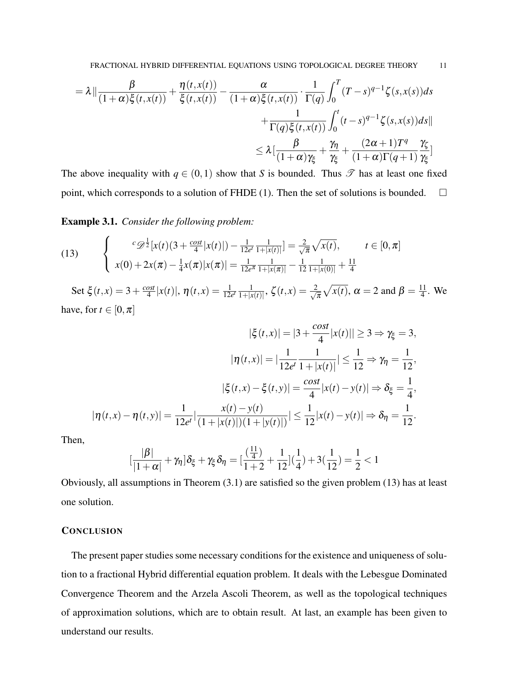$$
= \lambda \left\| \frac{\beta}{(1+\alpha)\xi(t,x(t))} + \frac{\eta(t,x(t))}{\xi(t,x(t))} - \frac{\alpha}{(1+\alpha)\xi(t,x(t))} \cdot \frac{1}{\Gamma(q)} \int_0^T (T-s)^{q-1} \zeta(s,x(s))ds + \frac{1}{\Gamma(q)\xi(t,x(t))} \int_0^t (t-s)^{q-1} \zeta(s,x(s))ds \right\|
$$
  

$$
\leq \lambda \left[ \frac{\beta}{(1+\alpha)\gamma_{\xi}} + \frac{\gamma_{\eta}}{\gamma_{\xi}} + \frac{(2\alpha+1)T^q}{(1+\alpha)\Gamma(q+1)} \frac{\gamma_{\zeta}}{\gamma_{\xi}} \right]
$$

The above inequality with  $q \in (0,1)$  show that *S* is bounded. Thus  $\mathscr{T}$  has at least one fixed point, which corresponds to a solution of FHDE [\(1\)](#page-1-0). Then the set of solutions is bounded.  $\square$ 

<span id="page-10-0"></span>Example 3.1. *Consider the following problem:*

(13) 
$$
\begin{cases} c \mathcal{D}^{\frac{1}{2}}[x(t)(3+\frac{cost}{4}|x(t)|)-\frac{1}{12e^t}\frac{1}{1+|x(t)|}]=\frac{2}{\sqrt{\pi}}\sqrt{x(t)}, & t \in [0,\pi] \\ x(0)+2x(\pi)-\frac{1}{4}x(\pi)|x(\pi)|=\frac{1}{12e^{\pi}}\frac{1}{1+|x(\pi)|}-\frac{1}{12}\frac{1}{1+|x(0)|}+\frac{11}{4} \end{cases}
$$

Set  $\xi(t,x) = 3 + \frac{\cos t}{4}$  $\frac{\partial s t}{4}|x(t)|, \, \eta(t,x)=\frac{1}{12e^t}\frac{1}{1+|x|}$  $\frac{1}{1+|x(t)|},\ \zeta(t,x)=\frac{2}{\sqrt{2}}$  $\frac{p}{\pi}\sqrt{x(t)}$ ,  $\alpha = 2$  and  $\beta = \frac{11}{4}$  $\frac{11}{4}$ . We have, for  $t \in [0, \pi]$ 

$$
|\xi(t,x)| = |3 + \frac{\cos t}{4}|x(t)|| \ge 3 \Rightarrow \gamma_{\xi} = 3,
$$
  

$$
|\eta(t,x)| = |\frac{1}{12e^{t}} \frac{1}{1+|x(t)|}| \le \frac{1}{12} \Rightarrow \gamma_{\eta} = \frac{1}{12},
$$
  

$$
|\xi(t,x) - \xi(t,y)| = \frac{\cos t}{4}|x(t) - y(t)| \Rightarrow \delta_{\xi} = \frac{1}{4},
$$
  

$$
|\eta(t,x) - \eta(t,y)| = \frac{1}{12e^{t}} |\frac{x(t) - y(t)}{(1+|x(t)|)(1+|y(t)|)}| \le \frac{1}{12}|x(t) - y(t)| \Rightarrow \delta_{\eta} = \frac{1}{12}.
$$

Then,

$$
[\frac{|\pmb\beta|}{|1+\alpha|}+\gamma_\eta]\delta_\xi+\gamma_\xi\delta_\eta=[\frac{(\frac{11}{4})}{1+2}+\frac{1}{12}](\frac{1}{4})+3(\frac{1}{12})=\frac{1}{2}<1
$$

Obviously, all assumptions in Theorem [\(3.1\)](#page-9-0) are satisfied so the given problem [\(13\)](#page-10-0) has at least one solution.

### **CONCLUSION**

The present paper studies some necessary conditions for the existence and uniqueness of solution to a fractional Hybrid differential equation problem. It deals with the Lebesgue Dominated Convergence Theorem and the Arzela Ascoli Theorem, as well as the topological techniques of approximation solutions, which are to obtain result. At last, an example has been given to understand our results.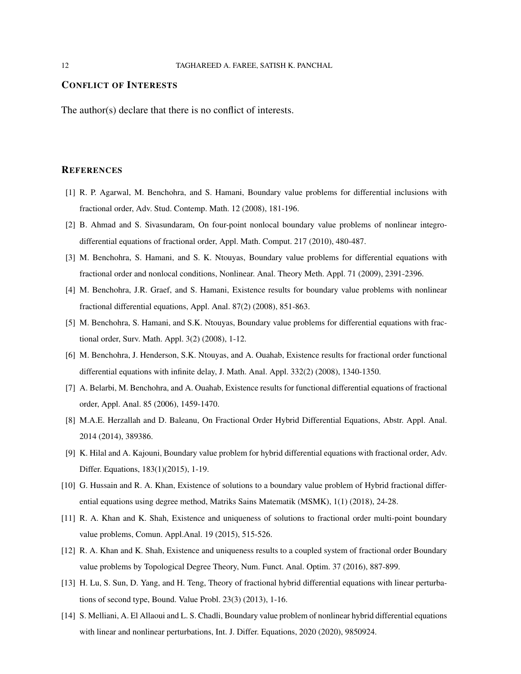#### CONFLICT OF INTERESTS

The author(s) declare that there is no conflict of interests.

## **REFERENCES**

- <span id="page-11-0"></span>[1] R. P. Agarwal, M. Benchohra, and S. Hamani, Boundary value problems for differential inclusions with fractional order, Adv. Stud. Contemp. Math. 12 (2008), 181-196.
- <span id="page-11-5"></span>[2] B. Ahmad and S. Sivasundaram, On four-point nonlocal boundary value problems of nonlinear integrodifferential equations of fractional order, Appl. Math. Comput. 217 (2010), 480-487.
- <span id="page-11-6"></span>[3] M. Benchohra, S. Hamani, and S. K. Ntouyas, Boundary value problems for differential equations with fractional order and nonlocal conditions, Nonlinear. Anal. Theory Meth. Appl. 71 (2009), 2391-2396.
- <span id="page-11-2"></span>[4] M. Benchohra, J.R. Graef, and S. Hamani, Existence results for boundary value problems with nonlinear fractional differential equations, Appl. Anal. 87(2) (2008), 851-863.
- <span id="page-11-3"></span>[5] M. Benchohra, S. Hamani, and S.K. Ntouyas, Boundary value problems for differential equations with fractional order, Surv. Math. Appl. 3(2) (2008), 1-12.
- <span id="page-11-4"></span>[6] M. Benchohra, J. Henderson, S.K. Ntouyas, and A. Ouahab, Existence results for fractional order functional differential equations with infinite delay, J. Math. Anal. Appl. 332(2) (2008), 1340-1350.
- <span id="page-11-1"></span>[7] A. Belarbi, M. Benchohra, and A. Ouahab, Existence results for functional differential equations of fractional order, Appl. Anal. 85 (2006), 1459-1470.
- <span id="page-11-10"></span>[8] M.A.E. Herzallah and D. Baleanu, On Fractional Order Hybrid Differential Equations, Abstr. Appl. Anal. 2014 (2014), 389386.
- <span id="page-11-9"></span>[9] K. Hilal and A. Kajouni, Boundary value problem for hybrid differential equations with fractional order, Adv. Differ. Equations, 183(1)(2015), 1-19.
- <span id="page-11-13"></span>[10] G. Hussain and R. A. Khan, Existence of solutions to a boundary value problem of Hybrid fractional differential equations using degree method, Matriks Sains Matematik (MSMK), 1(1) (2018), 24-28.
- <span id="page-11-7"></span>[11] R. A. Khan and K. Shah, Existence and uniqueness of solutions to fractional order multi-point boundary value problems, Comun. Appl.Anal. 19 (2015), 515-526.
- <span id="page-11-8"></span>[12] R. A. Khan and K. Shah, Existence and uniqueness results to a coupled system of fractional order Boundary value problems by Topological Degree Theory, Num. Funct. Anal. Optim. 37 (2016), 887-899.
- <span id="page-11-11"></span>[13] H. Lu, S. Sun, D. Yang, and H. Teng, Theory of fractional hybrid differential equations with linear perturbations of second type, Bound. Value Probl. 23(3) (2013), 1-16.
- <span id="page-11-12"></span>[14] S. Melliani, A. El Allaoui and L. S. Chadli, Boundary value problem of nonlinear hybrid differential equations with linear and nonlinear perturbations, Int. J. Differ. Equations, 2020 (2020), 9850924.